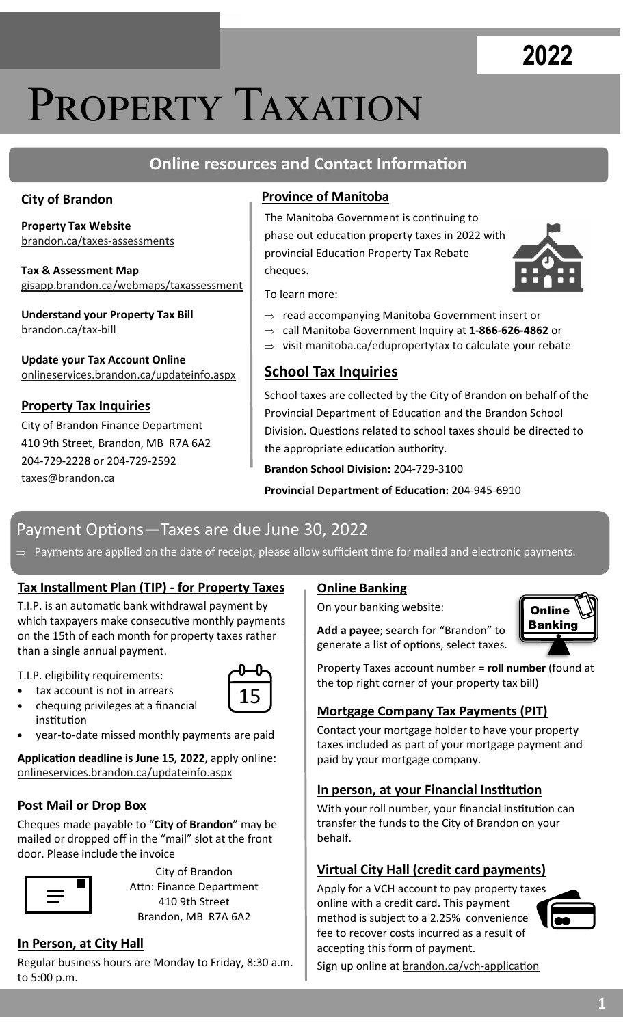# **2022**

# PROPERTY TAXATION

## **Online resources and Contact Information**

#### **City of Brandon**

**Property Tax Website**  brandon.ca/taxes-assessments

**Tax & Assessment Map**  gisapp.brandon.ca/webmaps/taxassessment

**Understand your Property Tax Bill**  brandon.ca/tax-bill

**Update your Tax Account Online**  onlineservices.brandon.ca/updateinfo.aspx

#### **Property Tax Inquiries**

City of Brandon Finance Department 410 9th Street, Brandon, MB R7A 6A2 204-729-2228 or 204-729-2592 taxes@brandon.ca

#### **Province of Manitoba**

The Manitoba Government is continuing to phase out education property taxes in 2022 with provincial Education Property Tax Rebate cheques.



To learn more:

- $\Rightarrow$  read accompanying Manitoba Government insert or
- call Manitoba Government Inquiry at **1-866-626-4862** or
- $\Rightarrow$  visit manitoba.ca/edupropertytax to calculate your rebate

### **School Tax Inquiries**

School taxes are collected by the City of Brandon on behalf of the Provincial Department of Education and the Brandon School Division. Questions related to school taxes should be directed to the appropriate education authority.

**Brandon School Division:** 204-729-3100

**Provincial Department of Education: 204-945-6910** 

### Payment Options—Taxes are due June 30, 2022

 $\Rightarrow$  Payments are applied on the date of receipt, please allow sufficient time for mailed and electronic payments.

#### **Tax Installment Plan (TIP) - for Property Taxes**

T.I.P. is an automatic bank withdrawal payment by which taxpayers make consecutive monthly payments on the 15th of each month for property taxes rather than a single annual payment.

T.I.P. eligibility requirements:

- tax account is not in arrears
- 15
- chequing privileges at a financial institution
- year-to-date missed monthly payments are paid

Application deadline is June 15, 2022, apply online: onlineservices.brandon.ca/updateinfo.aspx

#### **Post Mail or Drop Box**

Cheques made payable to "**City of Brandon**" may be mailed or dropped off in the "mail" slot at the front door. Please include the invoice



City of Brandon Attn: Finance Department 410 9th Street Brandon, MB R7A 6A2

#### **In Person, at City Hall**

Regular business hours are Monday to Friday, 8:30 a.m. to 5:00 p.m.

#### **Online Banking**

On your banking website:

**Add a payee**; search for "Brandon" to generate a list of options, select taxes.



Property Taxes account number = **roll number** (found at the top right corner of your property tax bill)

#### **Mortgage Company Tax Payments (PIT)**

Contact your mortgage holder to have your property taxes included as part of your mortgage payment and paid by your mortgage company.

#### **In person, at your Financial Institution**

With your roll number, your financial institution can transfer the funds to the City of Brandon on your behalf.

#### **Virtual City Hall (credit card payments)**

Apply for a VCH account to pay property taxes online with a credit card. This payment method is subject to a 2.25% convenience fee to recover costs incurred as a result of accepting this form of payment.



Sign up online at brandon.ca/vch-application